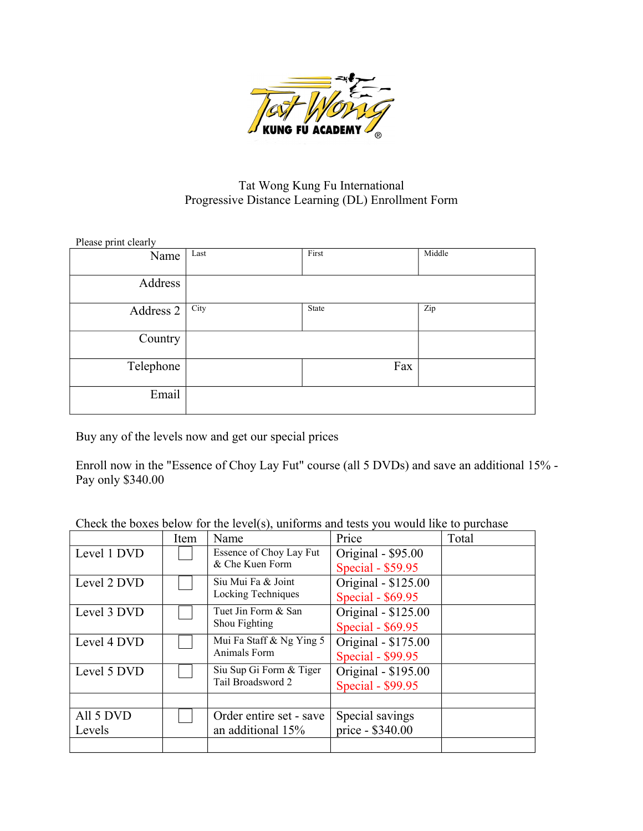

# Tat Wong Kung Fu International Progressive Distance Learning (DL) Enrollment Form

| Please print clearly |      |       |        |
|----------------------|------|-------|--------|
| Name                 | Last | First | Middle |
| Address              |      |       |        |
| Address 2            | City | State | Zip    |
| Country              |      |       |        |
| Telephone            |      | Fax   |        |
| Email                |      |       |        |

Buy any of the levels now and get our special prices

Enroll now in the "Essence of Choy Lay Fut" course (all 5 DVDs) and save an additional 15% - Pay only \$340.00

Check the boxes below for the level(s), uniforms and tests you would like to purchase

|                     | Item | $\cdots$ $\cdots$<br>Name                      | Price                                    | Total |
|---------------------|------|------------------------------------------------|------------------------------------------|-------|
| Level 1 DVD         |      | Essence of Choy Lay Fut<br>& Che Kuen Form     | Original - \$95.00<br>Special - \$59.95  |       |
| Level 2 DVD         |      | Siu Mui Fa & Joint<br>Locking Techniques       | Original - \$125.00<br>Special - \$69.95 |       |
| Level 3 DVD         |      | Tuet Jin Form & San<br>Shou Fighting           | Original - \$125.00<br>Special - \$69.95 |       |
| Level 4 DVD         |      | Mui Fa Staff & Ng Ying 5<br>Animals Form       | Original - \$175.00<br>Special - \$99.95 |       |
| Level 5 DVD         |      | Siu Sup Gi Form & Tiger<br>Tail Broadsword 2   | Original - \$195.00<br>Special - \$99.95 |       |
|                     |      |                                                |                                          |       |
| All 5 DVD<br>Levels |      | Order entire set - save<br>an additional $15%$ | Special savings<br>price - \$340.00      |       |
|                     |      |                                                |                                          |       |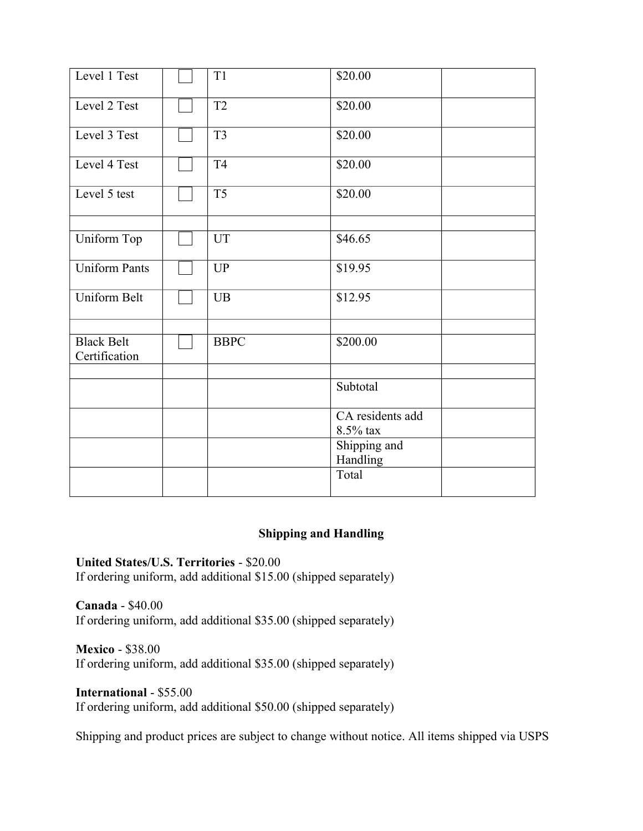| Level 1 Test                       | T <sub>1</sub> | $\bar{$}20.00$               |
|------------------------------------|----------------|------------------------------|
| Level 2 Test                       | T <sub>2</sub> | \$20.00                      |
| Level 3 Test                       | T <sub>3</sub> | \$20.00                      |
| Level 4 Test                       | <b>T4</b>      | \$20.00                      |
| Level 5 test                       | T <sub>5</sub> | \$20.00                      |
|                                    |                |                              |
| Uniform Top                        | <b>UT</b>      | \$46.65                      |
| <b>Uniform Pants</b>               | UP             | \$19.95                      |
| <b>Uniform Belt</b>                | UB             | \$12.95                      |
|                                    |                |                              |
| <b>Black Belt</b><br>Certification | <b>BBPC</b>    | \$200.00                     |
|                                    |                |                              |
|                                    |                | Subtotal                     |
|                                    |                | CA residents add<br>8.5% tax |
|                                    |                | Shipping and<br>Handling     |
|                                    |                | Total                        |

# **Shipping and Handling**

**United States/U.S. Territories** - \$20.00 If ordering uniform, add additional \$15.00 (shipped separately)

**Canada** - \$40.00 If ordering uniform, add additional \$35.00 (shipped separately)

**Mexico** - \$38.00 If ordering uniform, add additional \$35.00 (shipped separately)

**International** - \$55.00 If ordering uniform, add additional \$50.00 (shipped separately)

Shipping and product prices are subject to change without notice. All items shipped via USPS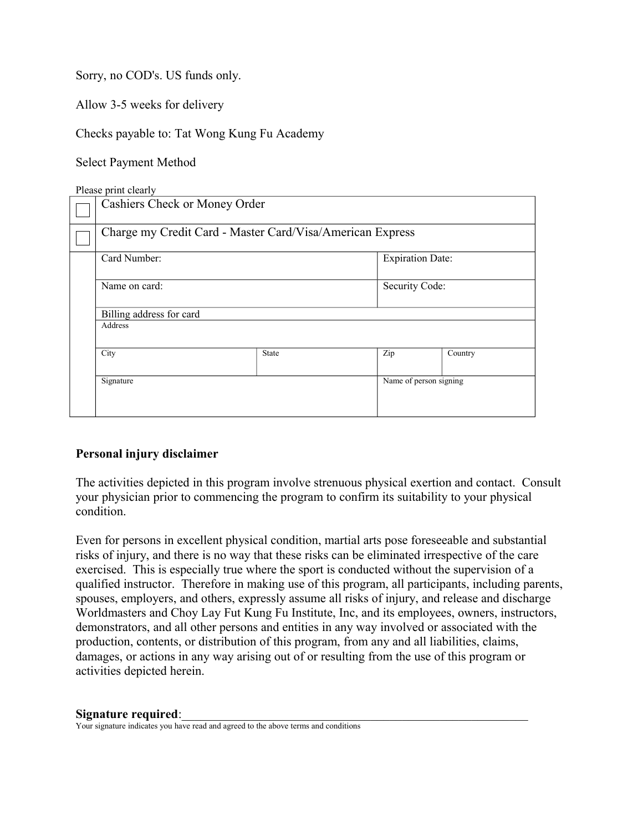Sorry, no COD's. US funds only.

Allow 3-5 weeks for delivery

Checks payable to: Tat Wong Kung Fu Academy

Select Payment Method

Please print clearly

| Cashiers Check or Money Order                             |              |                        |         |  |  |
|-----------------------------------------------------------|--------------|------------------------|---------|--|--|
| Charge my Credit Card - Master Card/Visa/American Express |              |                        |         |  |  |
| Card Number:<br><b>Expiration Date:</b>                   |              |                        |         |  |  |
| Name on card:                                             |              | Security Code:         |         |  |  |
| Billing address for card                                  |              |                        |         |  |  |
| Address                                                   |              |                        |         |  |  |
| City                                                      | <b>State</b> | Zip                    | Country |  |  |
| Signature                                                 |              | Name of person signing |         |  |  |

## **Personal injury disclaimer**

The activities depicted in this program involve strenuous physical exertion and contact. Consult your physician prior to commencing the program to confirm its suitability to your physical condition.

Even for persons in excellent physical condition, martial arts pose foreseeable and substantial risks of injury, and there is no way that these risks can be eliminated irrespective of the care exercised. This is especially true where the sport is conducted without the supervision of a qualified instructor. Therefore in making use of this program, all participants, including parents, spouses, employers, and others, expressly assume all risks of injury, and release and discharge Worldmasters and Choy Lay Fut Kung Fu Institute, Inc, and its employees, owners, instructors, demonstrators, and all other persons and entities in any way involved or associated with the production, contents, or distribution of this program, from any and all liabilities, claims, damages, or actions in any way arising out of or resulting from the use of this program or activities depicted herein.

#### Signature required:

Your signature indicates you have read and agreed to the above terms and conditions